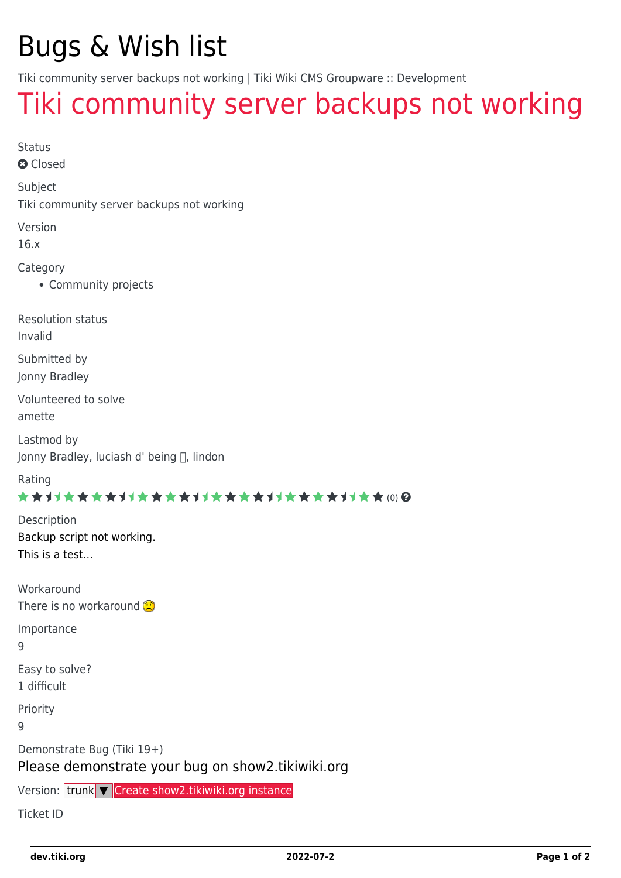# Bugs & Wish list

Tiki community server backups not working | Tiki Wiki CMS Groupware :: Development

## [Tiki community server backups not working](https://dev.tiki.org/item6304-Tiki-community-server-backups-not-working)

Status

**a** Closed

Subject

Tiki community server backups not working

Version

16.x

Category

Community projects

Resolution status

Invalid

Submitted by Jonny Bradley

Volunteered to solve amette

Lastmod by Jonny Bradley, luciash d' being [], lindon

Rating

#### \*\*\*\*\*\*\*\*\*\*\*\*\*\*\*\*\*\*\*\*\*\*\*\*\*\*\*\*\*\*

Description Backup script not working. This is a test...

Workaround

There is no workaround

Importance

9

Easy to solve?

1 difficult

Priority

9

Demonstrate Bug (Tiki 19+)

#### Please demonstrate your bug on show2.tikiwiki.org

Version: trunk ▼ [Create show2.tikiwiki.org instance](#page--1-0)

Ticket ID